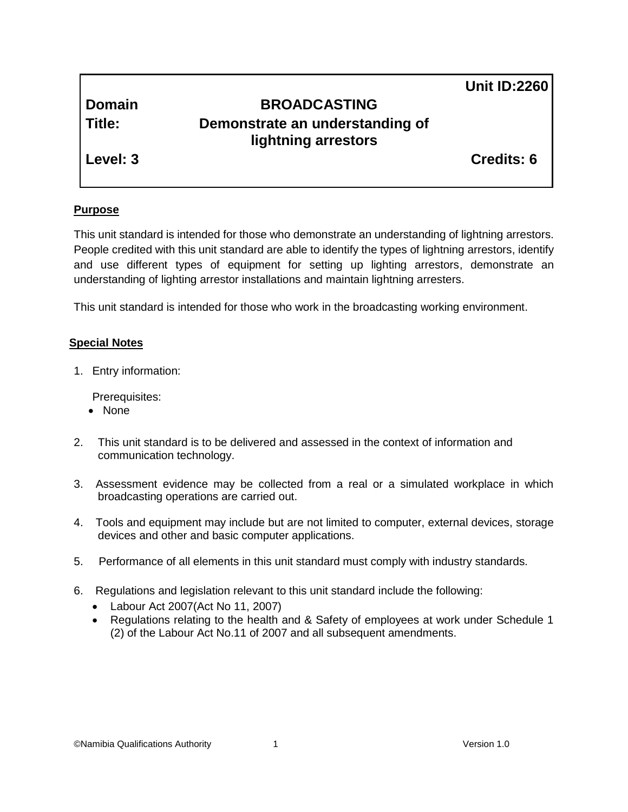|               |                                                        | <b>Unit ID:2260</b> |
|---------------|--------------------------------------------------------|---------------------|
| <b>Domain</b> | <b>BROADCASTING</b>                                    |                     |
| Title:        | Demonstrate an understanding of<br>lightning arrestors |                     |
| Level: 3      |                                                        | <b>Credits: 6</b>   |

#### **Purpose**

This unit standard is intended for those who demonstrate an understanding of lightning arrestors. People credited with this unit standard are able to identify the types of lightning arrestors, identify and use different types of equipment for setting up lighting arrestors, demonstrate an understanding of lighting arrestor installations and maintain lightning arresters.

This unit standard is intended for those who work in the broadcasting working environment.

# **Special Notes**

1. Entry information:

Prerequisites:

- None
- 2. This unit standard is to be delivered and assessed in the context of information and communication technology.
- 3. Assessment evidence may be collected from a real or a simulated workplace in which broadcasting operations are carried out.
- 4. Tools and equipment may include but are not limited to computer, external devices, storage devices and other and basic computer applications.
- 5. Performance of all elements in this unit standard must comply with industry standards.
- 6. Regulations and legislation relevant to this unit standard include the following:
	- Labour Act 2007(Act No 11, 2007)
	- Regulations relating to the health and & Safety of employees at work under Schedule 1 (2) of the Labour Act No.11 of 2007 and all subsequent amendments.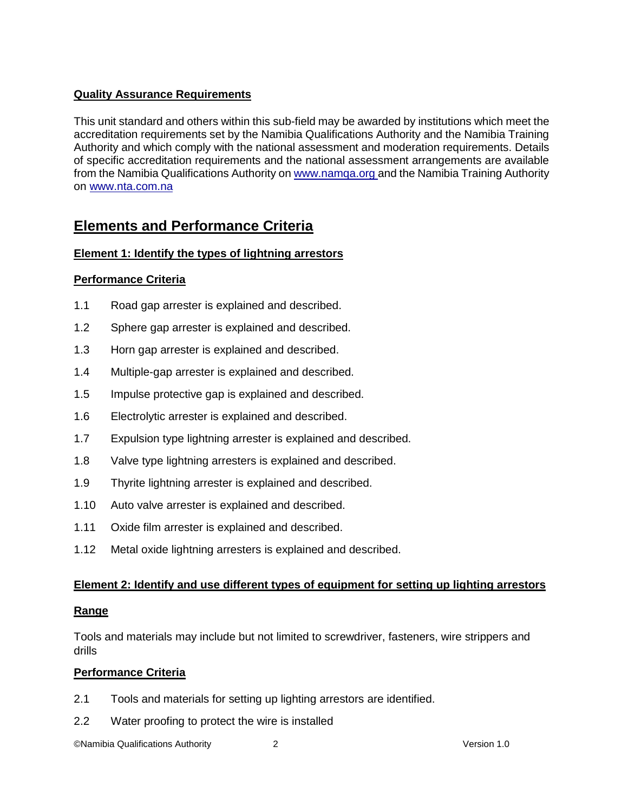# **Quality Assurance Requirements**

This unit standard and others within this sub-field may be awarded by institutions which meet the accreditation requirements set by the Namibia Qualifications Authority and the Namibia Training Authority and which comply with the national assessment and moderation requirements. Details of specific accreditation requirements and the national assessment arrangements are available from the Namibia Qualifications Authority o[n www.namqa.org a](http://www.namqa.org/)nd the Namibia Training Authority on [www.nta.com.na](http://www.nta.com.na/)

# **Elements and Performance Criteria**

# **Element 1: Identify the types of lightning arrestors**

# **Performance Criteria**

- 1.1 Road gap arrester is explained and described.
- 1.2 Sphere gap arrester is explained and described.
- 1.3 Horn gap arrester is explained and described.
- 1.4 Multiple-gap arrester is explained and described.
- 1.5 Impulse protective gap is explained and described.
- 1.6 Electrolytic arrester is explained and described.
- 1.7 Expulsion type lightning arrester is explained and described.
- 1.8 Valve type lightning arresters is explained and described.
- 1.9 Thyrite lightning arrester is explained and described.
- 1.10 Auto valve arrester is explained and described.
- 1.11 Oxide film arrester is explained and described.
- 1.12 Metal oxide lightning arresters is explained and described.

#### **Element 2: Identify and use different types of equipment for setting up lighting arrestors**

#### **Range**

Tools and materials may include but not limited to screwdriver, fasteners, wire strippers and drills

#### **Performance Criteria**

- 2.1 Tools and materials for setting up lighting arrestors are identified.
- 2.2 Water proofing to protect the wire is installed

©Namibia Qualifications Authority 2 Version 1.0